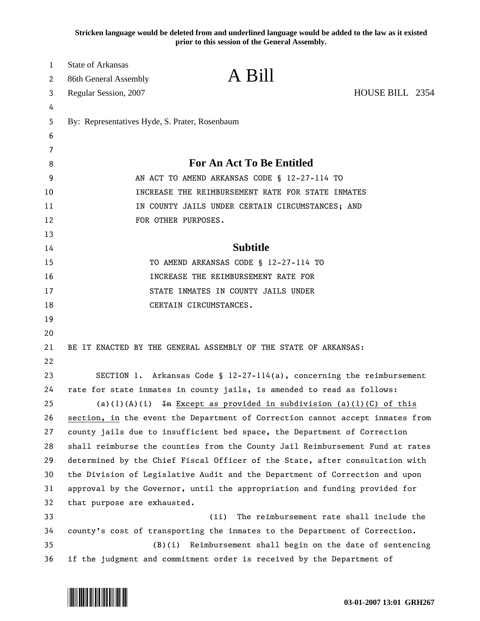**Stricken language would be deleted from and underlined language would be added to the law as it existed prior to this session of the General Assembly.**

| $\mathbf{1}$ | <b>State of Arkansas</b>                                               |                                                                               |                                          |
|--------------|------------------------------------------------------------------------|-------------------------------------------------------------------------------|------------------------------------------|
| 2            | 86th General Assembly                                                  | A Bill                                                                        |                                          |
| 3            | Regular Session, 2007                                                  |                                                                               | HOUSE BILL 2354                          |
| 4            |                                                                        |                                                                               |                                          |
| 5            | By: Representatives Hyde, S. Prater, Rosenbaum                         |                                                                               |                                          |
| 6            |                                                                        |                                                                               |                                          |
| 7            |                                                                        |                                                                               |                                          |
| 8            | For An Act To Be Entitled                                              |                                                                               |                                          |
| 9            | AN ACT TO AMEND ARKANSAS CODE § 12-27-114 TO                           |                                                                               |                                          |
| 10           | INCREASE THE REIMBURSEMENT RATE FOR STATE INMATES                      |                                                                               |                                          |
| 11           | IN COUNTY JAILS UNDER CERTAIN CIRCUMSTANCES; AND                       |                                                                               |                                          |
| 12           |                                                                        | FOR OTHER PURPOSES.                                                           |                                          |
| 13           |                                                                        |                                                                               |                                          |
| 14           |                                                                        | <b>Subtitle</b>                                                               |                                          |
| 15           | TO AMEND ARKANSAS CODE § 12-27-114 TO                                  |                                                                               |                                          |
| 16           |                                                                        | INCREASE THE REIMBURSEMENT RATE FOR                                           |                                          |
| 17           | STATE INMATES IN COUNTY JAILS UNDER                                    |                                                                               |                                          |
| 18           |                                                                        | CERTAIN CIRCUMSTANCES.                                                        |                                          |
| 19           |                                                                        |                                                                               |                                          |
| 20           |                                                                        |                                                                               |                                          |
| 21           |                                                                        | BE IT ENACTED BY THE GENERAL ASSEMBLY OF THE STATE OF ARKANSAS:               |                                          |
| 22           |                                                                        |                                                                               |                                          |
| 23           |                                                                        | SECTION 1. Arkansas Code § $12-27-114(a)$ , concerning the reimbursement      |                                          |
| 24           | rate for state inmates in county jails, is amended to read as follows: |                                                                               |                                          |
| 25           |                                                                        | (a)(1)(A)(i) In Except as provided in subdivision (a)(1)(C) of this           |                                          |
| 26           |                                                                        | section, in the event the Department of Correction cannot accept inmates from |                                          |
| 27           |                                                                        | county jails due to insufficient bed space, the Department of Correction      |                                          |
| 28           |                                                                        | shall reimburse the counties from the County Jail Reimbursement Fund at rates |                                          |
| 29           |                                                                        | determined by the Chief Fiscal Officer of the State, after consultation with  |                                          |
| 30           |                                                                        | the Division of Legislative Audit and the Department of Correction and upon   |                                          |
| 31           |                                                                        | approval by the Governor, until the appropriation and funding provided for    |                                          |
| 32           | that purpose are exhausted.                                            |                                                                               |                                          |
| 33           |                                                                        | (ii)                                                                          | The reimbursement rate shall include the |
| 34           |                                                                        | county's cost of transporting the inmates to the Department of Correction.    |                                          |
| 35           | (B)(i)                                                                 | Reimbursement shall begin on the date of sentencing                           |                                          |
| 36           |                                                                        | if the judgment and commitment order is received by the Department of         |                                          |

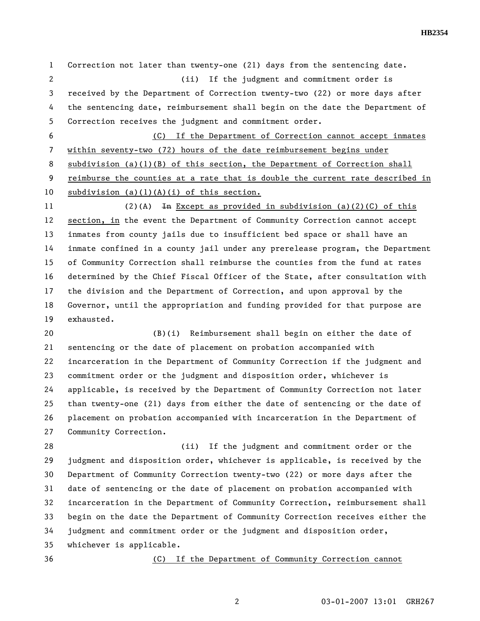1 Correction not later than twenty-one (21) days from the sentencing date. 2 (ii) If the judgment and commitment order is 3 received by the Department of Correction twenty-two (22) or more days after 4 the sentencing date, reimbursement shall begin on the date the Department of 5 Correction receives the judgment and commitment order. 6 (C) If the Department of Correction cannot accept inmates 7 within seventy-two (72) hours of the date reimbursement begins under 8 subdivision (a)(1)(B) of this section, the Department of Correction shall 9 reimburse the counties at a rate that is double the current rate described in

10 subdivision (a)(1)(A)(i) of this section. 11 (2)(A) In Except as provided in subdivision (a)(2)(C) of this

12 section, in the event the Department of Community Correction cannot accept 13 inmates from county jails due to insufficient bed space or shall have an 14 inmate confined in a county jail under any prerelease program, the Department 15 of Community Correction shall reimburse the counties from the fund at rates 16 determined by the Chief Fiscal Officer of the State, after consultation with 17 the division and the Department of Correction, and upon approval by the 18 Governor, until the appropriation and funding provided for that purpose are 19 exhausted.

20 (B)(i) Reimbursement shall begin on either the date of 21 sentencing or the date of placement on probation accompanied with 22 incarceration in the Department of Community Correction if the judgment and 23 commitment order or the judgment and disposition order, whichever is 24 applicable, is received by the Department of Community Correction not later 25 than twenty-one (21) days from either the date of sentencing or the date of 26 placement on probation accompanied with incarceration in the Department of 27 Community Correction.

28 (ii) If the judgment and commitment order or the 29 judgment and disposition order, whichever is applicable, is received by the 30 Department of Community Correction twenty-two (22) or more days after the 31 date of sentencing or the date of placement on probation accompanied with 32 incarceration in the Department of Community Correction, reimbursement shall 33 begin on the date the Department of Community Correction receives either the 34 judgment and commitment order or the judgment and disposition order, 35 whichever is applicable.

36 (C) If the Department of Community Correction cannot